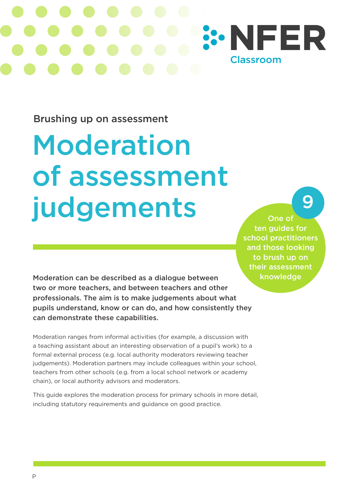

Brushing up on assessment

# Moderation of assessment judgements

One of ten guides for school practitioners and those looking to brush up on their assessment knowledge

9

Moderation can be described as a dialogue between two or more teachers, and between teachers and other professionals. The aim is to make judgements about what pupils understand, know or can do, and how consistently they can demonstrate these capabilities.

Moderation ranges from informal activities (for example, a discussion with a teaching assistant about an interesting observation of a pupil's work) to a formal external process (e.g. local authority moderators reviewing teacher judgements). Moderation partners may include colleagues within your school, teachers from other schools (e.g. from a local school network or academy chain), or local authority advisors and moderators.

This guide explores the moderation process for primary schools in more detail, including statutory requirements and guidance on good practice.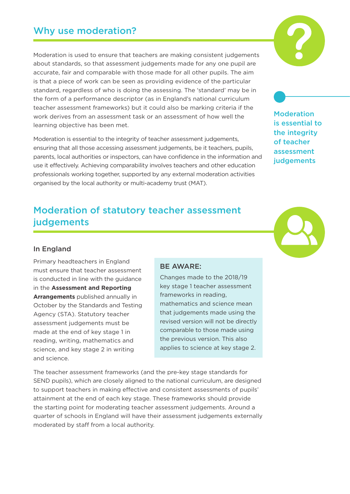Moderation is used to ensure that teachers are making consistent judgements about standards, so that assessment judgements made for any one pupil are accurate, fair and comparable with those made for all other pupils. The aim is that a piece of work can be seen as providing evidence of the particular standard, regardless of who is doing the assessing. The 'standard' may be in the form of a performance descriptor (as in England's national curriculum teacher assessment frameworks) but it could also be marking criteria if the work derives from an assessment task or an assessment of how well the learning objective has been met.

Moderation is essential to the integrity of teacher assessment judgements, ensuring that all those accessing assessment judgements, be it teachers, pupils, parents, local authorities or inspectors, can have confidence in the information and use it effectively. Achieving comparability involves teachers and other education professionals working together, supported by any external moderation activities organised by the local authority or multi-academy trust (MAT).

## Moderation of statutory teacher assessment judgements

#### In England

Primary headteachers in England must ensure that teacher assessment is conducted in line with the guidance in the **Assessment and Reporting Arrangements** published annually in October by the Standards and Testing Agency (STA). Statutory teacher assessment judgements must be made at the end of key stage 1 in reading, writing, mathematics and science, and key stage 2 in writing and science.

#### BE AWARE:

Changes made to the 2018/19 key stage 1 teacher assessment frameworks in reading, mathematics and science mean that judgements made using the revised version will not be directly comparable to those made using the previous version. This also applies to science at key stage 2.

The teacher assessment frameworks (and the pre-key stage standards for SEND pupils), which are closely aligned to the national curriculum, are designed to support teachers in making effective and consistent assessments of pupils' attainment at the end of each key stage. These frameworks should provide the starting point for moderating teacher assessment judgements. Around a quarter of schools in England will have their assessment judgements externally moderated by staff from a local authority.

Moderation is essential to the integrity of teacher assessment judgements

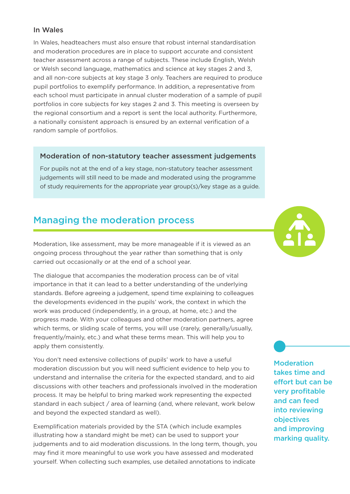#### In Wales

In Wales, headteachers must also ensure that robust internal standardisation and moderation procedures are in place to support accurate and consistent teacher assessment across a range of subjects. These include English, Welsh or Welsh second language, mathematics and science at key stages 2 and 3, and all non-core subjects at key stage 3 only. Teachers are required to produce pupil portfolios to exemplify performance. In addition, a representative from each school must participate in annual cluster moderation of a sample of pupil portfolios in core subjects for key stages 2 and 3. This meeting is overseen by the regional consortium and a report is sent the local authority. Furthermore, a nationally consistent approach is ensured by an external verification of a random sample of portfolios.

#### Moderation of non-statutory teacher assessment judgements

For pupils not at the end of a key stage, non-statutory teacher assessment judgements will still need to be made and moderated using the programme of study requirements for the appropriate year group(s)/key stage as a guide.

## Managing the moderation process

Moderation, like assessment, may be more manageable if it is viewed as an ongoing process throughout the year rather than something that is only carried out occasionally or at the end of a school year.

The dialogue that accompanies the moderation process can be of vital importance in that it can lead to a better understanding of the underlying standards. Before agreeing a judgement, spend time explaining to colleagues the developments evidenced in the pupils' work, the context in which the work was produced (independently, in a group, at home, etc.) and the progress made. With your colleagues and other moderation partners, agree which terms, or sliding scale of terms, you will use (rarely, generally/usually, frequently/mainly, etc.) and what these terms mean. This will help you to apply them consistently.

You don't need extensive collections of pupils' work to have a useful moderation discussion but you will need sufficient evidence to help you to understand and internalise the criteria for the expected standard, and to aid discussions with other teachers and professionals involved in the moderation process. It may be helpful to bring marked work representing the expected standard in each subject / area of learning (and, where relevant, work below and beyond the expected standard as well).

Exemplification materials provided by the STA (which include examples illustrating how a standard might be met) can be used to support your judgements and to aid moderation discussions. In the long term, though, you may find it more meaningful to use work you have assessed and moderated yourself. When collecting such examples, use detailed annotations to indicate



**Moderation** takes time and effort but can be very profitable and can feed into reviewing objectives and improving marking quality.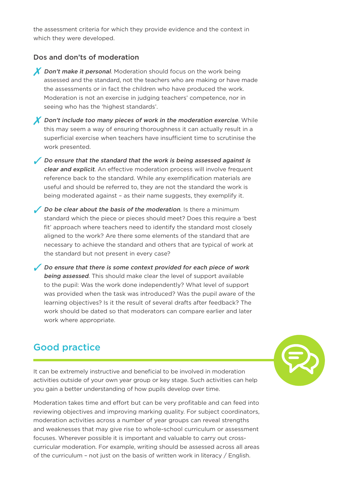the assessment criteria for which they provide evidence and the context in which they were developed.

#### Dos and don'ts of moderation

- **X** Don't make it personal. Moderation should focus on the work being assessed and the standard, not the teachers who are making or have made the assessments or in fact the children who have produced the work. Moderation is not an exercise in judging teachers' competence, nor in seeing who has the 'highest standards'.
- $\chi$  Don't include too many pieces of work in the moderation exercise. While this may seem a way of ensuring thoroughness it can actually result in a superficial exercise when teachers have insufficient time to scrutinise the work presented.
- Do ensure that the standard that the work is being assessed against is clear and explicit. An effective moderation process will involve frequent reference back to the standard. While any exemplification materials are useful and should be referred to, they are not the standard the work is being moderated against – as their name suggests, they exemplify it.
- Do be clear about the basis of the moderation. Is there a minimum standard which the piece or pieces should meet? Does this require a 'best fit' approach where teachers need to identify the standard most closely aligned to the work? Are there some elements of the standard that are necessary to achieve the standard and others that are typical of work at the standard but not present in every case?
- Do ensure that there is some context provided for each piece of work **being assessed.** This should make clear the level of support available to the pupil: Was the work done independently? What level of support was provided when the task was introduced? Was the pupil aware of the learning objectives? Is it the result of several drafts after feedback? The work should be dated so that moderators can compare earlier and later work where appropriate.

## Good practice



It can be extremely instructive and beneficial to be involved in moderation activities outside of your own year group or key stage. Such activities can help you gain a better understanding of how pupils develop over time.

Moderation takes time and effort but can be very profitable and can feed into reviewing objectives and improving marking quality. For subject coordinators, moderation activities across a number of year groups can reveal strengths and weaknesses that may give rise to whole-school curriculum or assessment focuses. Wherever possible it is important and valuable to carry out crosscurricular moderation. For example, writing should be assessed across all areas of the curriculum – not just on the basis of written work in literacy / English.